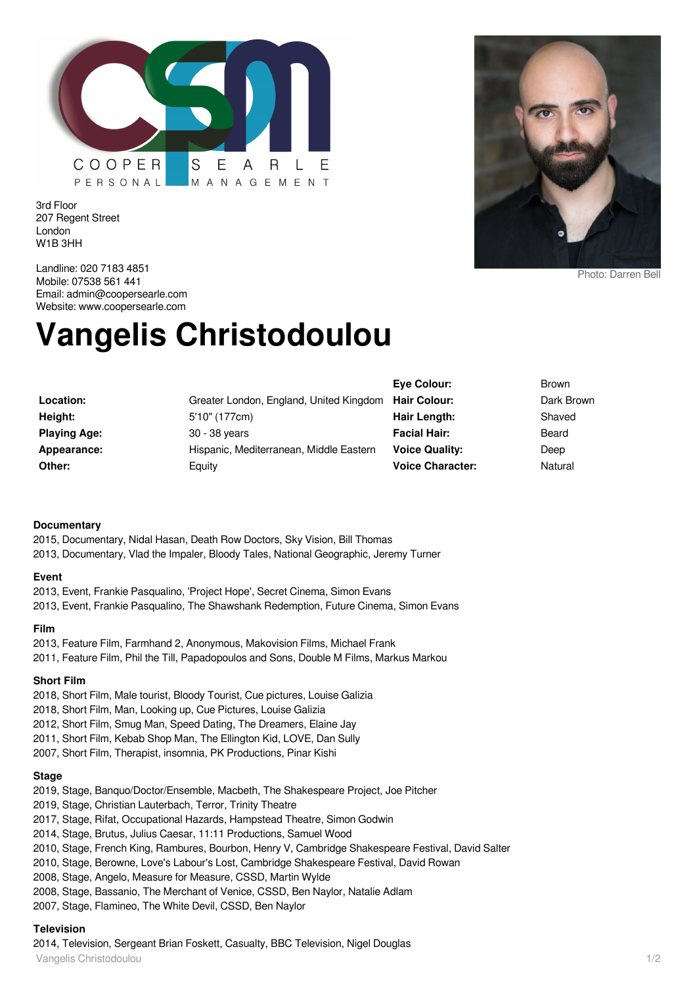

3rd Floor 207 Regent Street London W1B 3HH



Landline: 020 7183 4851 Mobile: 07538 561 441 Email: admin@coopersearle.com Website: www.coopersearle.com

# **Vangelis Christodoulou**

|                     |                                                      | Eve Colour:             |
|---------------------|------------------------------------------------------|-------------------------|
| Location:           | Greater London, England, United Kingdom Hair Colour: |                         |
| Height:             | 5'10" (177cm)                                        | Hair Length:            |
| <b>Playing Age:</b> | 30 - 38 years                                        | <b>Facial Hair:</b>     |
| Appearance:         | Hispanic, Mediterranean, Middle Eastern              | <b>Voice Quality:</b>   |
| Other:              | Equity                                               | <b>Voice Character:</b> |
|                     |                                                      |                         |

**Eye Colour:** Brown **Dark Brown Shaved Facial Hair:** Beard Deep **Natural** 

#### **Documentary**

2015, Documentary, Nidal Hasan, Death Row Doctors, Sky Vision, Bill Thomas 2013, Documentary, Vlad the Impaler, Bloody Tales, National Geographic, Jeremy Turner

#### **Event**

2013, Event, Frankie Pasqualino, 'Project Hope', Secret Cinema, Simon Evans 2013, Event, Frankie Pasqualino, The Shawshank Redemption, Future Cinema, Simon Evans

#### **Film**

2013, Feature Film, Farmhand 2, Anonymous, Makovision Films, Michael Frank 2011, Feature Film, Phil the Till, Papadopoulos and Sons, Double M Films, Markus Markou

#### **Short Film**

- 2018, Short Film, Male tourist, Bloody Tourist, Cue pictures, Louise Galizia
- 2018, Short Film, Man, Looking up, Cue Pictures, Louise Galizia
- 2012, Short Film, Smug Man, Speed Dating, The Dreamers, Elaine Jay
- 2011, Short Film, Kebab Shop Man, The Ellington Kid, LOVE, Dan Sully
- 2007, Short Film, Therapist, insomnia, PK Productions, Pinar Kishi

#### **Stage**

- 2019, Stage, Banquo/Doctor/Ensemble, Macbeth, The Shakespeare Project, Joe Pitcher
- 2019, Stage, Christian Lauterbach, Terror, Trinity Theatre
- 2017, Stage, Rifat, Occupational Hazards, Hampstead Theatre, Simon Godwin
- 2014, Stage, Brutus, Julius Caesar, 11:11 Productions, Samuel Wood
- 2010, Stage, French King, Rambures, Bourbon, Henry V, Cambridge Shakespeare Festival, David Salter
- 2010, Stage, Berowne, Love's Labour's Lost, Cambridge Shakespeare Festival, David Rowan
- 2008, Stage, Angelo, Measure for Measure, CSSD, Martin Wylde
- 2008, Stage, Bassanio, The Merchant of Venice, CSSD, Ben Naylor, Natalie Adlam
- 2007, Stage, Flamineo, The White Devil, CSSD, Ben Naylor

## **Television**

Vangelis Christodoulou 1/2 2014, Television, Sergeant Brian Foskett, Casualty, BBC Television, Nigel Douglas